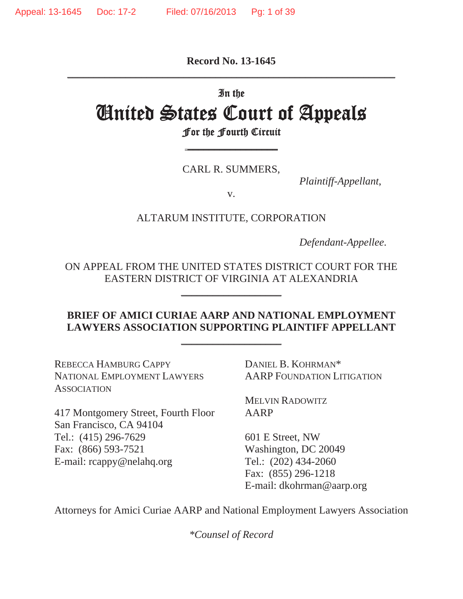**Record No. 13-1645**  \_\_\_\_\_\_\_\_\_\_\_\_\_\_\_\_\_\_\_\_\_\_\_\_\_\_\_\_\_\_\_\_\_\_\_\_\_\_\_\_\_\_\_\_\_\_\_\_\_\_\_\_\_\_\_\_\_\_\_\_\_\_

#### In the

# **United States Court of Appeals<br>For the Fourth Circuit**

 $\frac{1}{2}$ 

CARL R. SUMMERS,

*Plaintiff-Appellant*,

v.

ALTARUM INSTITUTE, CORPORATION

*Defendant-Appellee*.

ON APPEAL FROM THE UNITED STATES DISTRICT COURT FOR THE EASTERN DISTRICT OF VIRGINIA AT ALEXANDRIA

\_\_\_\_\_\_\_\_\_\_\_\_\_\_\_\_\_\_\_

## **BRIEF OF AMICI CURIAE AARP AND NATIONAL EMPLOYMENT LAWYERS ASSOCIATION SUPPORTING PLAINTIFF APPELLANT**

\_\_\_\_\_\_\_\_\_\_\_\_\_\_\_\_\_\_\_

REBECCA HAMBURG CAPPY DANIEL B. KOHRMAN\* NATIONAL EMPLOYMENT LAWYERS AARP FOUNDATION LITIGATION **ASSOCIATION** 

417 Montgomery Street, Fourth Floor AARP San Francisco, CA 94104 Tel.: (415) 296-7629 601 E Street, NW Fax: (866) 593-7521 Washington, DC 20049 E-mail: rcappy@nelahq.org Tel.: (202) 434-2060

MELVIN RADOWITZ

 Fax: (855) 296-1218 E-mail: dkohrman@aarp.org

Attorneys for Amici Curiae AARP and National Employment Lawyers Association

*\*Counsel of Record*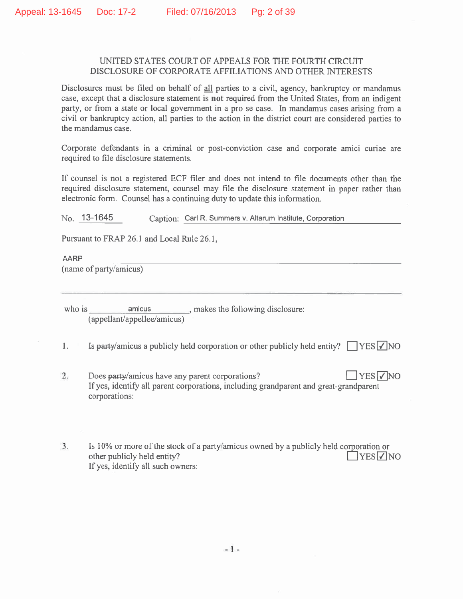#### UNITED STATES COURT OF APPEALS FOR THE FOURTH CIRCUIT DISCLOSURE OF CORPORATE AFFILIATIONS AND OTHER INTERESTS

Disclosures must be filed on behalf of all parties to a civil, agency, bankruptcy or mandamus case, except that a disclosure statement is not required from the United States, from an indigent party, or from a state or local government in a pro se case. In mandamus cases arising from a civil or bankruptcy action, all parties to the action in the district court are considered parties to the mandamus case.

Corporate defendants in a criminal or post-conviction case and corporate amici curiae are required to file disclosure statements.

If counsel is not a registered ECF filer and does not intend to file documents other than the required disclosure statement, counsel may file the disclosure statement in paper rather than electronic form. Counsel has a continuing duty to update this information.

 $No.$  13-1645 Caption: Carl R. Summers v. Altarum Institute, Corporation

Pursuant to FRAP 26.1 and Local Rule 26.1,

**AARP** (name of party/amicus)

who is amicus , makes the following disclosure: (appellant/appellee/amicus)

Is party/amicus a publicly held corporation or other publicly held entity?  $\Box$  YES  $\Box$  NO 1.

- $2.$ Does party/amicus have any parent corporations?  $YES$   $\sqrt{NQ}$ If yes, identify all parent corporations, including grandparent and great-grandparent corporations:
- Is 10% or more of the stock of a party/amicus owned by a publicly held corporation or  $3.$  $T$ YES $\nabla$ NO other publicly held entity? If yes, identify all such owners: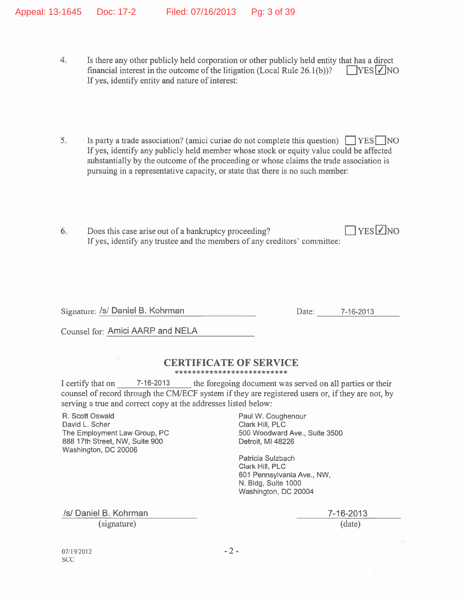- $4.$ Is there any other publicly held corporation or other publicly held entity that has a direct financial interest in the outcome of the litigation (Local Rule 26.1(b))?  $\sqrt{\text{YES} \cdot \text{NO}}$ If yes, identify entity and nature of interest:
- Is party a trade association? (amici curiae do not complete this question)  $\Box$  YES  $\Box$  NO 5. If yes, identify any publicly held member whose stock or equity value could be affected substantially by the outcome of the proceeding or whose claims the trade association is pursuing in a representative capacity, or state that there is no such member:
- $7$ YES $\nabla$ NO Does this case arise out of a bankruptcy proceeding? 6. If yes, identify any trustee and the members of any creditors' committee:

Signature: /s/ Daniel B. Kohrman

Date: 7-16-2013

Counsel for: Amici AARP and NELA

## **CERTIFICATE OF SERVICE**

\*\*\*\*\*\*\*\*\*\*\*\*\*\*\*\*\*\*\*\*\*\*\*\*\*

I certify that on 7-16-2013 the foregoing document was served on all parties or their counsel of record through the CM/ECF system if they are registered users or, if they are not, by serving a true and correct copy at the addresses listed below:

R. Scott Oswald David L. Scher The Employment Law Group, PC 888 17th Street, NW, Suite 900 Washington, DC 20006

Paul W. Coughenour Clark Hill, PLC 500 Woodward Ave., Suite 3500 Detroit, MI 48226

Patricia Sulzbach Clark Hill, PLC 601 Pennsylvania Ave., NW, N. Bldg, Suite 1000 Washington, DC 20004

/s/ Daniel B. Kohrman (signature)

7-16-2013  $(data)$ 

07/19/2012 **SCC**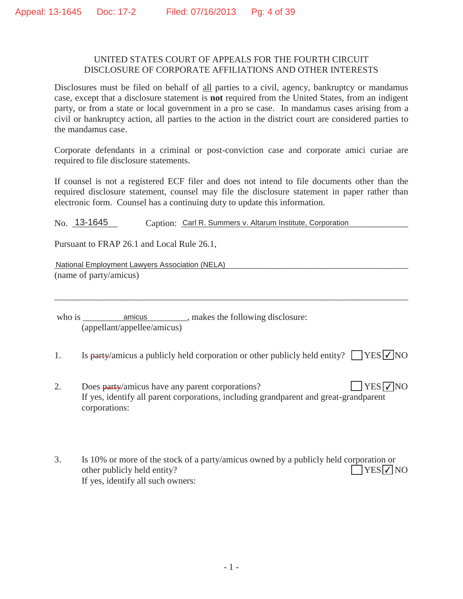#### UNITED STATES COURT OF APPEALS FOR THE FOURTH CIRCUIT DISCLOSURE OF CORPORATE AFFILIATIONS AND OTHER INTERESTS

Disclosures must be filed on behalf of all parties to a civil, agency, bankruptcy or mandamus case, except that a disclosure statement is **not** required from the United States, from an indigent party, or from a state or local government in a pro se case. In mandamus cases arising from a civil or bankruptcy action, all parties to the action in the district court are considered parties to the mandamus case.

Corporate defendants in a criminal or post-conviction case and corporate amici curiae are required to file disclosure statements.

If counsel is not a registered ECF filer and does not intend to file documents other than the required disclosure statement, counsel may file the disclosure statement in paper rather than electronic form. Counsel has a continuing duty to update this information.

No. 13-1645 Caption: Carl R. Summers v. Altarum Institute, Corporation

Pursuant to FRAP 26.1 and Local Rule 26.1,

National Employment Lawyers Association (NELA)<br>
National Employment Lawyers Association (NELA) (name of party/amicus)

who is \_\_\_\_\_\_\_\_\_\_\_\_\_\_\_\_\_\_\_\_\_\_\_\_\_\_\_\_\_, makes the following disclosure: (appellant/appellee/amicus)

1. Is party/amicus a publicly held corporation or other publicly held entity?  $\Box$  YES  $\Box$  NO

\_\_\_\_\_\_\_\_\_\_\_\_\_\_\_\_\_\_\_\_\_\_\_\_\_\_\_\_\_\_\_\_\_\_\_\_\_\_\_\_\_\_\_\_\_\_\_\_\_\_\_\_\_\_\_\_\_\_\_\_\_\_\_\_\_\_\_\_\_\_\_\_\_\_\_\_\_\_

- 2. Does party/amicus have any parent corporations? If yes, identify all parent corporations, including grandparent and great-grandparent corporations:  $YES$  NO
- 3. Is 10% or more of the stock of a party/amicus owned by a publicly held corporation or other publicly held entity? If yes, identify all such owners:  $\bigcap$ YES $\neg$ NO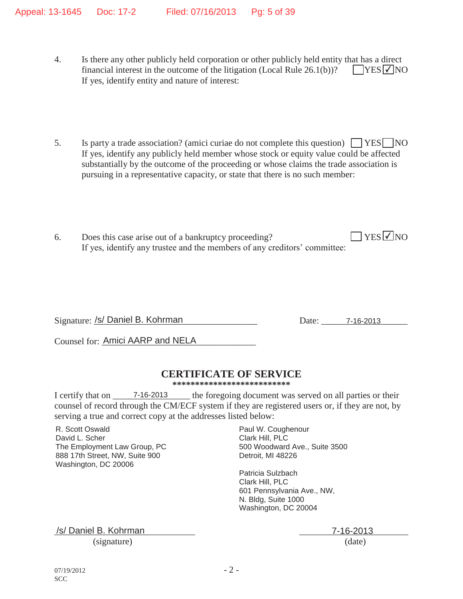- 4. Is there any other publicly held corporation or other publicly held entity that has a direct financial interest in the outcome of the litigation (Local Rule  $26.1(b)$ )? If yes, identify entity and nature of interest:  $\Box$ YES  $\Box$ NO
- 5. Is party a trade association? (amici curiae do not complete this question)  $\Box$  YES  $\Box$  NO If yes, identify any publicly held member whose stock or equity value could be affected substantially by the outcome of the proceeding or whose claims the trade association is pursuing in a representative capacity, or state that there is no such member:
- 6. Does this case arise out of a bankruptcy proceeding? If yes, identify any trustee and the members of any creditors' committee:  $\Box$  YES  $\Box$  NO

Signature: \_\_\_\_\_\_\_\_\_\_\_\_\_\_\_\_\_\_\_\_\_\_\_\_\_\_\_\_\_\_\_\_\_\_\_\_ Date: \_\_\_\_\_\_\_\_\_\_\_\_\_\_\_\_\_\_\_ /s/ Daniel B. Kohrman 7-16-2013

Counsel for: Amici AARP and NELA

## **CERTIFICATE OF SERVICE**

**\*\*\*\*\*\*\*\*\*\*\*\*\*\*\*\*\*\*\*\*\*\*\*\*\*\***

I certify that on \_\_\_\_\_\_\_\_\_\_\_\_\_\_\_\_\_\_\_\_\_\_\_\_\_\_\_\_\_\_\_ the foregoing document was served on all parties or their counsel of record through the CM/ECF system if they are registered users or, if they are not, by serving a true and correct copy at the addresses listed below:

R. Scott Oswald David L. Scher The Employment Law Group, PC 888 17th Street, NW, Suite 900 Washington, DC 20006

Paul W. Coughenour Clark Hill, PLC 500 Woodward Ave., Suite 3500 Detroit, MI 48226

Patricia Sulzbach Clark Hill, PLC 601 Pennsylvania Ave., NW, N. Bldg, Suite 1000 Washington, DC 20004

\_\_\_\_\_\_\_\_\_\_\_\_\_\_\_\_\_\_\_\_\_\_\_\_\_\_\_\_\_\_\_ \_\_\_\_\_\_\_\_\_\_\_\_\_\_\_\_\_\_\_\_\_\_\_\_ /s/ Daniel B. Kohrman 7-16-2013 (signature) (date)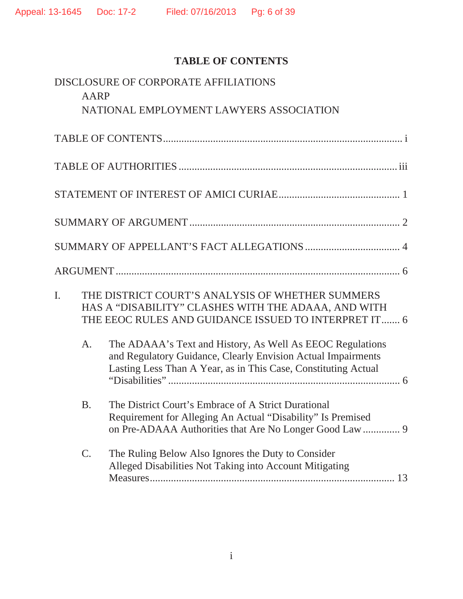# **TABLE OF CONTENTS**

|                | <b>AARP</b> | DISCLOSURE OF CORPORATE AFFILIATIONS                                                                                                                                                        |
|----------------|-------------|---------------------------------------------------------------------------------------------------------------------------------------------------------------------------------------------|
|                |             | NATIONAL EMPLOYMENT LAWYERS ASSOCIATION                                                                                                                                                     |
|                |             |                                                                                                                                                                                             |
|                |             |                                                                                                                                                                                             |
|                |             |                                                                                                                                                                                             |
|                |             |                                                                                                                                                                                             |
|                |             |                                                                                                                                                                                             |
|                |             |                                                                                                                                                                                             |
| $\mathbf{I}$ . |             | THE DISTRICT COURT'S ANALYSIS OF WHETHER SUMMERS<br>HAS A "DISABILITY" CLASHES WITH THE ADAAA, AND WITH<br>THE EEOC RULES AND GUIDANCE ISSUED TO INTERPRET IT 6                             |
|                | A.          | The ADAAA's Text and History, As Well As EEOC Regulations<br>and Regulatory Guidance, Clearly Envision Actual Impairments<br>Lasting Less Than A Year, as in This Case, Constituting Actual |
|                | <b>B.</b>   | The District Court's Embrace of A Strict Durational<br>Requirement for Alleging An Actual "Disability" Is Premised                                                                          |
|                | C.          | The Ruling Below Also Ignores the Duty to Consider<br>Alleged Disabilities Not Taking into Account Mitigating                                                                               |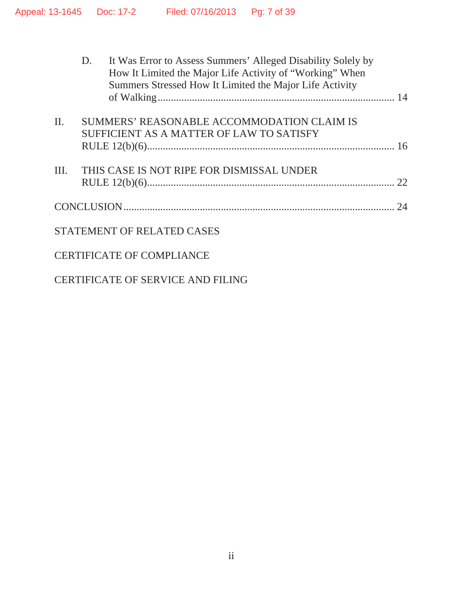|         | D. | It Was Error to Assess Summers' Alleged Disability Solely by<br>How It Limited the Major Life Activity of "Working" When<br>Summers Stressed How It Limited the Major Life Activity |    |
|---------|----|-------------------------------------------------------------------------------------------------------------------------------------------------------------------------------------|----|
| $\Pi$ . |    | SUMMERS' REASONABLE ACCOMMODATION CLAIM IS<br>SUFFICIENT AS A MATTER OF LAW TO SATISFY                                                                                              |    |
|         |    |                                                                                                                                                                                     |    |
| III.    |    | THIS CASE IS NOT RIPE FOR DISMISSAL UNDER                                                                                                                                           |    |
|         |    |                                                                                                                                                                                     | 24 |
|         |    | <b>STATEMENT OF RELATED CASES</b>                                                                                                                                                   |    |
|         |    | <b>CERTIFICATE OF COMPLIANCE</b>                                                                                                                                                    |    |
|         |    |                                                                                                                                                                                     |    |

CERTIFICATE OF SERVICE AND FILING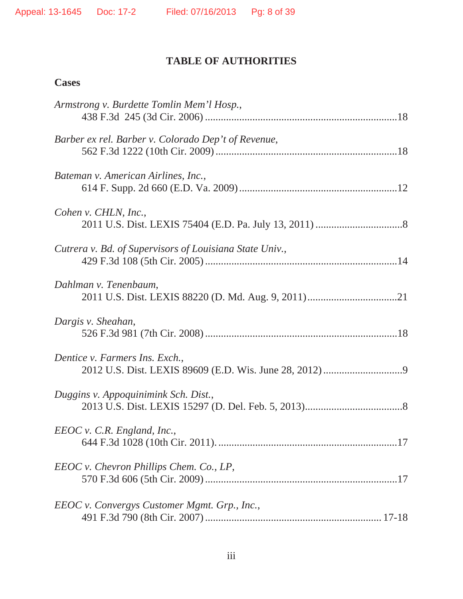## **TABLE OF AUTHORITIES**

## **Cases**

| Armstrong v. Burdette Tomlin Mem'l Hosp.,               |
|---------------------------------------------------------|
| Barber ex rel. Barber v. Colorado Dep't of Revenue,     |
| Bateman v. American Airlines, Inc.,                     |
| Cohen v. CHLN, Inc.,                                    |
| Cutrera v. Bd. of Supervisors of Louisiana State Univ., |
| Dahlman v. Tenenbaum,                                   |
| Dargis v. Sheahan,                                      |
| Dentice v. Farmers Ins. Exch.,                          |
| Duggins v. Appoquinimink Sch. Dist.,                    |
| $EEOC$ v. C.R. England, Inc.,                           |
| EEOC v. Chevron Phillips Chem. Co., LP,                 |
| EEOC v. Convergys Customer Mgmt. Grp., Inc.,            |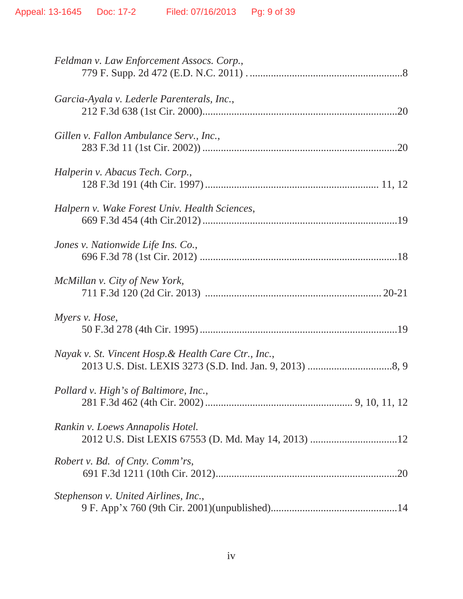| Feldman v. Law Enforcement Assocs. Corp.,            |
|------------------------------------------------------|
| Garcia-Ayala v. Lederle Parenterals, Inc.,           |
| Gillen v. Fallon Ambulance Serv., Inc.,              |
| Halperin v. Abacus Tech. Corp.,                      |
| Halpern v. Wake Forest Univ. Health Sciences,        |
| Jones v. Nationwide Life Ins. Co.,                   |
| McMillan v. City of New York,                        |
| Myers v. Hose,                                       |
| Nayak v. St. Vincent Hosp. & Health Care Ctr., Inc., |
| Pollard v. High's of Baltimore, Inc.,                |
| Rankin v. Loews Annapolis Hotel.                     |
| Robert v. Bd. of Cnty. Comm'rs,                      |
| Stephenson v. United Airlines, Inc.,                 |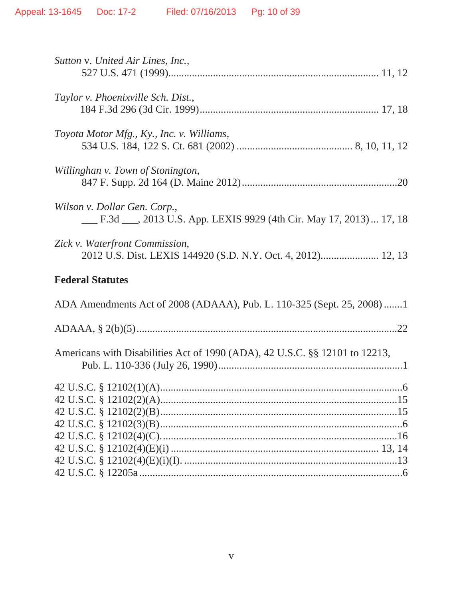| Sutton v. United Air Lines, Inc.,                                                                   |
|-----------------------------------------------------------------------------------------------------|
| Taylor v. Phoenixville Sch. Dist.,                                                                  |
| Toyota Motor Mfg., Ky., Inc. v. Williams,                                                           |
| Willinghan v. Town of Stonington,                                                                   |
| Wilson v. Dollar Gen. Corp.,<br>E.3d ___, 2013 U.S. App. LEXIS 9929 (4th Cir. May 17, 2013)  17, 18 |
| Zick v. Waterfront Commission,<br>2012 U.S. Dist. LEXIS 144920 (S.D. N.Y. Oct. 4, 2012) 12, 13      |
| <b>Federal Statutes</b>                                                                             |
| ADA Amendments Act of 2008 (ADAAA), Pub. L. 110-325 (Sept. 25, 2008)1                               |
|                                                                                                     |
| Americans with Disabilities Act of 1990 (ADA), 42 U.S.C. §§ 12101 to 12213,                         |
|                                                                                                     |
|                                                                                                     |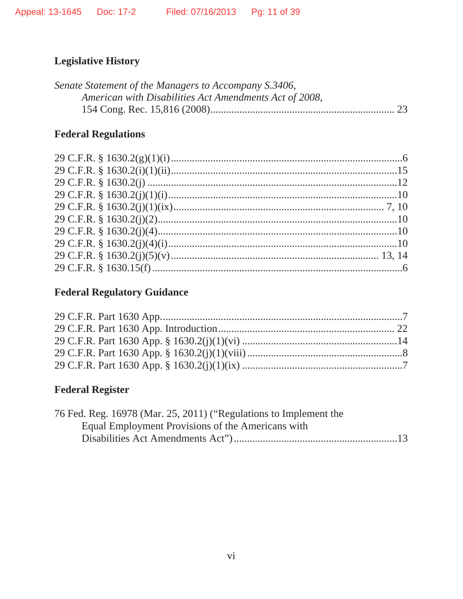# **Legislative History**

| Senate Statement of the Managers to Accompany S.3406,  |  |
|--------------------------------------------------------|--|
| American with Disabilities Act Amendments Act of 2008, |  |
|                                                        |  |

# **Federal Regulations**

# **Federal Regulatory Guidance**

# **Federal Register**

| 76 Fed. Reg. 16978 (Mar. 25, 2011) ("Regulations to Implement the |  |
|-------------------------------------------------------------------|--|
| Equal Employment Provisions of the Americans with                 |  |
|                                                                   |  |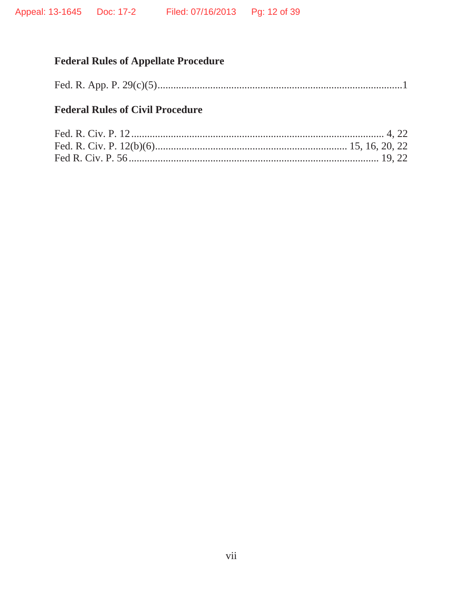# **Federal Rules of Appellate Procedure**

|--|--|--|

## **Federal Rules of Civil Procedure**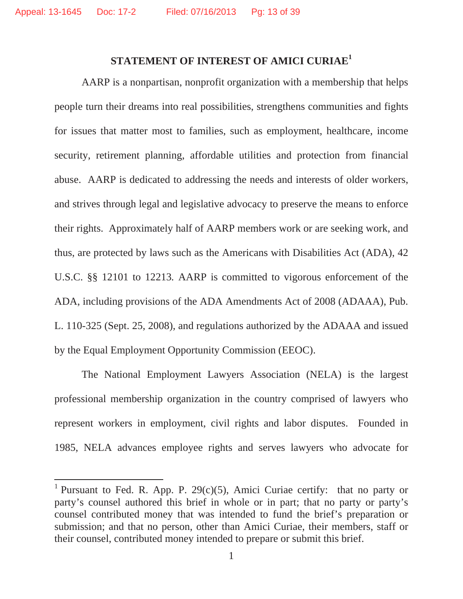### **STATEMENT OF INTEREST OF AMICI CURIAE<sup>1</sup>**

AARP is a nonpartisan, nonprofit organization with a membership that helps people turn their dreams into real possibilities, strengthens communities and fights for issues that matter most to families, such as employment, healthcare, income security, retirement planning, affordable utilities and protection from financial abuse. AARP is dedicated to addressing the needs and interests of older workers, and strives through legal and legislative advocacy to preserve the means to enforce their rights. Approximately half of AARP members work or are seeking work, and thus, are protected by laws such as the Americans with Disabilities Act (ADA), 42 U.S.C. §§ 12101 to 12213*.* AARP is committed to vigorous enforcement of the ADA, including provisions of the ADA Amendments Act of 2008 (ADAAA), Pub. L. 110-325 (Sept. 25, 2008), and regulations authorized by the ADAAA and issued by the Equal Employment Opportunity Commission (EEOC).

The National Employment Lawyers Association (NELA) is the largest professional membership organization in the country comprised of lawyers who represent workers in employment, civil rights and labor disputes. Founded in 1985, NELA advances employee rights and serves lawyers who advocate for

<sup>&</sup>lt;sup>1</sup> Pursuant to Fed. R. App. P. 29(c)(5), Amici Curiae certify: that no party or party's counsel authored this brief in whole or in part; that no party or party's counsel contributed money that was intended to fund the brief's preparation or submission; and that no person, other than Amici Curiae, their members, staff or their counsel, contributed money intended to prepare or submit this brief.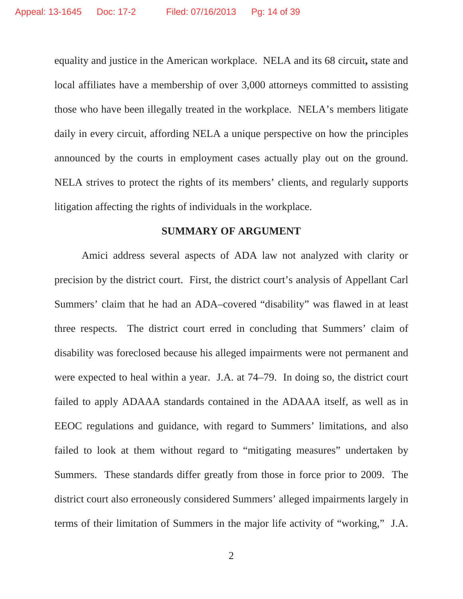equality and justice in the American workplace. NELA and its 68 circuit**,** state and local affiliates have a membership of over 3,000 attorneys committed to assisting those who have been illegally treated in the workplace. NELA's members litigate daily in every circuit, affording NELA a unique perspective on how the principles announced by the courts in employment cases actually play out on the ground. NELA strives to protect the rights of its members' clients, and regularly supports litigation affecting the rights of individuals in the workplace.

#### **SUMMARY OF ARGUMENT**

Amici address several aspects of ADA law not analyzed with clarity or precision by the district court. First, the district court's analysis of Appellant Carl Summers' claim that he had an ADA–covered "disability" was flawed in at least three respects. The district court erred in concluding that Summers' claim of disability was foreclosed because his alleged impairments were not permanent and were expected to heal within a year. J.A. at 74–79. In doing so, the district court failed to apply ADAAA standards contained in the ADAAA itself, as well as in EEOC regulations and guidance, with regard to Summers' limitations, and also failed to look at them without regard to "mitigating measures" undertaken by Summers. These standards differ greatly from those in force prior to 2009. The district court also erroneously considered Summers' alleged impairments largely in terms of their limitation of Summers in the major life activity of "working," J.A.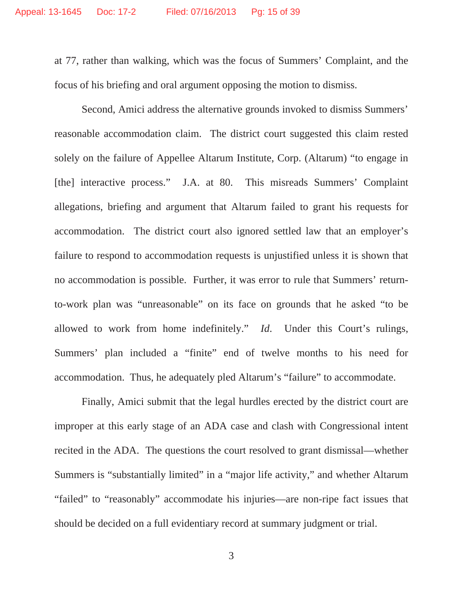at 77, rather than walking, which was the focus of Summers' Complaint, and the focus of his briefing and oral argument opposing the motion to dismiss.

Second, Amici address the alternative grounds invoked to dismiss Summers' reasonable accommodation claim. The district court suggested this claim rested solely on the failure of Appellee Altarum Institute, Corp. (Altarum) "to engage in [the] interactive process." J.A. at 80. This misreads Summers' Complaint allegations, briefing and argument that Altarum failed to grant his requests for accommodation. The district court also ignored settled law that an employer's failure to respond to accommodation requests is unjustified unless it is shown that no accommodation is possible. Further, it was error to rule that Summers' returnto-work plan was "unreasonable" on its face on grounds that he asked "to be allowed to work from home indefinitely." *Id*. Under this Court's rulings, Summers' plan included a "finite" end of twelve months to his need for accommodation. Thus, he adequately pled Altarum's "failure" to accommodate.

Finally, Amici submit that the legal hurdles erected by the district court are improper at this early stage of an ADA case and clash with Congressional intent recited in the ADA. The questions the court resolved to grant dismissal—whether Summers is "substantially limited" in a "major life activity," and whether Altarum "failed" to "reasonably" accommodate his injuries—are non-ripe fact issues that should be decided on a full evidentiary record at summary judgment or trial.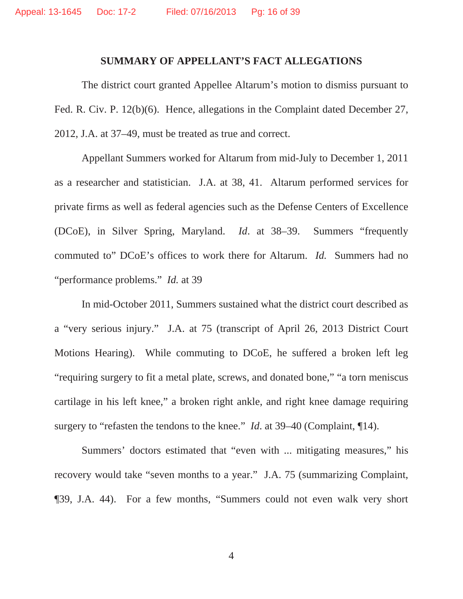#### **SUMMARY OF APPELLANT'S FACT ALLEGATIONS**

The district court granted Appellee Altarum's motion to dismiss pursuant to Fed. R. Civ. P. 12(b)(6). Hence, allegations in the Complaint dated December 27, 2012, J.A. at 37–49, must be treated as true and correct.

Appellant Summers worked for Altarum from mid-July to December 1, 2011 as a researcher and statistician. J.A. at 38, 41. Altarum performed services for private firms as well as federal agencies such as the Defense Centers of Excellence (DCoE), in Silver Spring, Maryland. *Id*. at 38–39. Summers "frequently commuted to" DCoE's offices to work there for Altarum. *Id.* Summers had no "performance problems." *Id.* at 39

In mid-October 2011, Summers sustained what the district court described as a "very serious injury." J.A. at 75 (transcript of April 26, 2013 District Court Motions Hearing). While commuting to DCoE, he suffered a broken left leg "requiring surgery to fit a metal plate, screws, and donated bone," "a torn meniscus cartilage in his left knee," a broken right ankle, and right knee damage requiring surgery to "refasten the tendons to the knee." *Id*. at 39–40 (Complaint, ¶14).

Summers' doctors estimated that "even with ... mitigating measures," his recovery would take "seven months to a year." J.A. 75 (summarizing Complaint, ¶39, J.A. 44). For a few months, "Summers could not even walk very short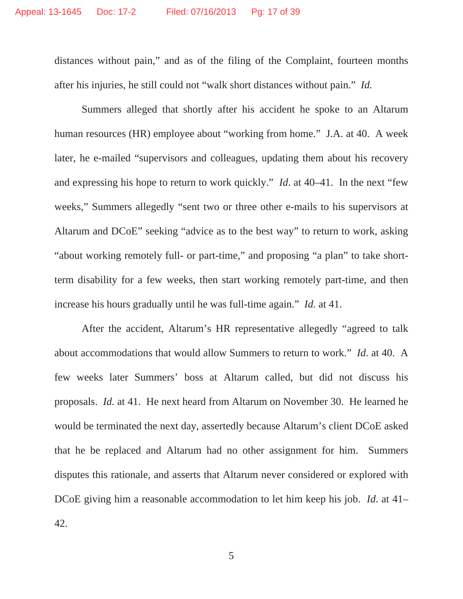distances without pain," and as of the filing of the Complaint, fourteen months after his injuries, he still could not "walk short distances without pain." *Id.*

Summers alleged that shortly after his accident he spoke to an Altarum human resources (HR) employee about "working from home." J.A. at 40. A week later, he e-mailed "supervisors and colleagues, updating them about his recovery and expressing his hope to return to work quickly." *Id*. at 40–41. In the next "few weeks," Summers allegedly "sent two or three other e-mails to his supervisors at Altarum and DCoE" seeking "advice as to the best way" to return to work, asking "about working remotely full- or part-time," and proposing "a plan" to take shortterm disability for a few weeks, then start working remotely part-time, and then increase his hours gradually until he was full-time again." *Id.* at 41.

After the accident, Altarum's HR representative allegedly "agreed to talk about accommodations that would allow Summers to return to work." *Id*. at 40. A few weeks later Summers' boss at Altarum called, but did not discuss his proposals. *Id.* at 41. He next heard from Altarum on November 30. He learned he would be terminated the next day, assertedly because Altarum's client DCoE asked that he be replaced and Altarum had no other assignment for him. Summers disputes this rationale, and asserts that Altarum never considered or explored with DCoE giving him a reasonable accommodation to let him keep his job. *Id*. at 41– 42.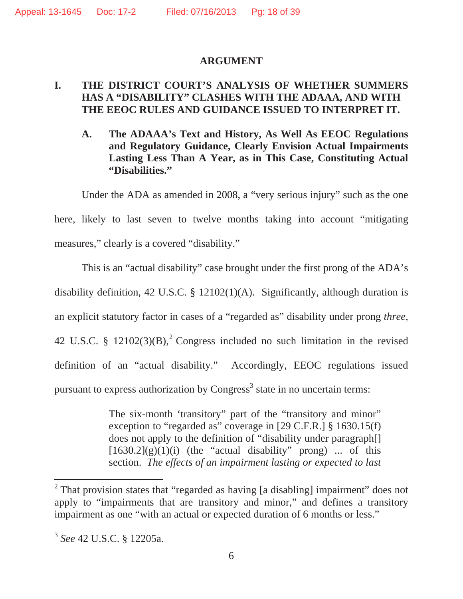#### **ARGUMENT**

### **I. THE DISTRICT COURT'S ANALYSIS OF WHETHER SUMMERS HAS A "DISABILITY" CLASHES WITH THE ADAAA, AND WITH THE EEOC RULES AND GUIDANCE ISSUED TO INTERPRET IT.**

**A. The ADAAA's Text and History, As Well As EEOC Regulations and Regulatory Guidance, Clearly Envision Actual Impairments Lasting Less Than A Year, as in This Case, Constituting Actual "Disabilities."**

Under the ADA as amended in 2008, a "very serious injury" such as the one here, likely to last seven to twelve months taking into account "mitigating measures," clearly is a covered "disability."

This is an "actual disability" case brought under the first prong of the ADA's disability definition, 42 U.S.C. § 12102(1)(A). Significantly, although duration is an explicit statutory factor in cases of a "regarded as" disability under prong *three*, 42 U.S.C. §  $12102(3)(B)$ ,<sup>2</sup> Congress included no such limitation in the revised definition of an "actual disability." Accordingly, EEOC regulations issued pursuant to express authorization by Congress<sup>3</sup> state in no uncertain terms:

> The six-month 'transitory' part of the "transitory and minor" exception to "regarded as" coverage in [29 C.F.R.] § 1630.15(f) does not apply to the definition of "disability under paragraph[]  $[1630.2](g)(1)(i)$  (the "actual disability" prong) ... of this section. *The effects of an impairment lasting or expected to last*

<sup>&</sup>lt;sup>2</sup> That provision states that "regarded as having [a disabling] impairment" does not apply to "impairments that are transitory and minor," and defines a transitory impairment as one "with an actual or expected duration of 6 months or less."

<sup>3</sup> *See* 42 U.S.C. § 12205a.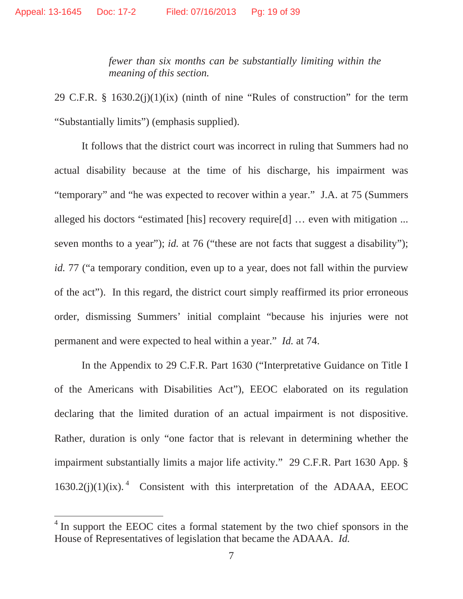*fewer than six months can be substantially limiting within the meaning of this section.* 

29 C.F.R. § 1630.2(j)(1)(ix) (ninth of nine "Rules of construction" for the term "Substantially limits") (emphasis supplied).

It follows that the district court was incorrect in ruling that Summers had no actual disability because at the time of his discharge, his impairment was "temporary" and "he was expected to recover within a year." J.A. at 75 (Summers alleged his doctors "estimated [his] recovery require[d] … even with mitigation ... seven months to a year"); *id.* at 76 ("these are not facts that suggest a disability"); *id.* 77 ("a temporary condition, even up to a year, does not fall within the purview of the act"). In this regard, the district court simply reaffirmed its prior erroneous order, dismissing Summers' initial complaint "because his injuries were not permanent and were expected to heal within a year." *Id.* at 74.

In the Appendix to 29 C.F.R. Part 1630 ("Interpretative Guidance on Title I of the Americans with Disabilities Act"), EEOC elaborated on its regulation declaring that the limited duration of an actual impairment is not dispositive. Rather, duration is only "one factor that is relevant in determining whether the impairment substantially limits a major life activity." 29 C.F.R. Part 1630 App. §  $1630.2(j)(1)(ix).$ <sup>4</sup> Consistent with this interpretation of the ADAAA, EEOC

<sup>&</sup>lt;sup>4</sup> In support the EEOC cites a formal statement by the two chief sponsors in the House of Representatives of legislation that became the ADAAA. *Id.*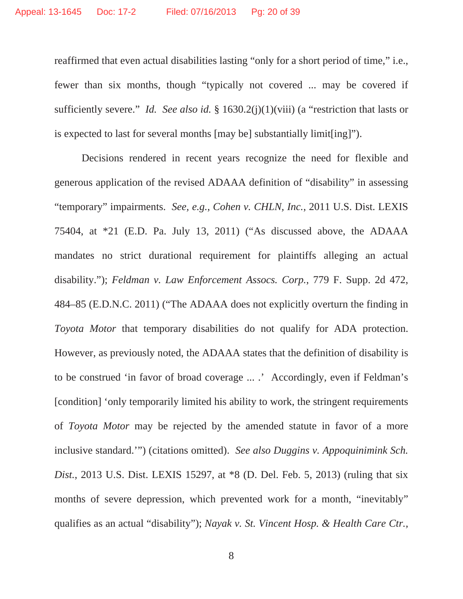reaffirmed that even actual disabilities lasting "only for a short period of time," i.e., fewer than six months, though "typically not covered ... may be covered if sufficiently severe." *Id. See also id.* § 1630.2(j)(1)(viii) (a "restriction that lasts or is expected to last for several months [may be] substantially limit[ing]").

Decisions rendered in recent years recognize the need for flexible and generous application of the revised ADAAA definition of "disability" in assessing "temporary" impairments. *See, e.g.*, *Cohen v. CHLN, Inc.*, 2011 U.S. Dist. LEXIS 75404, at \*21 (E.D. Pa. July 13, 2011) ("As discussed above, the ADAAA mandates no strict durational requirement for plaintiffs alleging an actual disability."); *Feldman v. Law Enforcement Assocs. Corp.*, 779 F. Supp. 2d 472, 484–85 (E.D.N.C. 2011) ("The ADAAA does not explicitly overturn the finding in *Toyota Motor* that temporary disabilities do not qualify for ADA protection. However, as previously noted, the ADAAA states that the definition of disability is to be construed 'in favor of broad coverage ... .' Accordingly, even if Feldman's [condition] 'only temporarily limited his ability to work, the stringent requirements of *Toyota Motor* may be rejected by the amended statute in favor of a more inclusive standard.'") (citations omitted). *See also Duggins v. Appoquinimink Sch. Dist.*, 2013 U.S. Dist. LEXIS 15297, at \*8 (D. Del. Feb. 5, 2013) (ruling that six months of severe depression, which prevented work for a month, "inevitably" qualifies as an actual "disability"); *Nayak v. St. Vincent Hosp. & Health Care Ctr.,*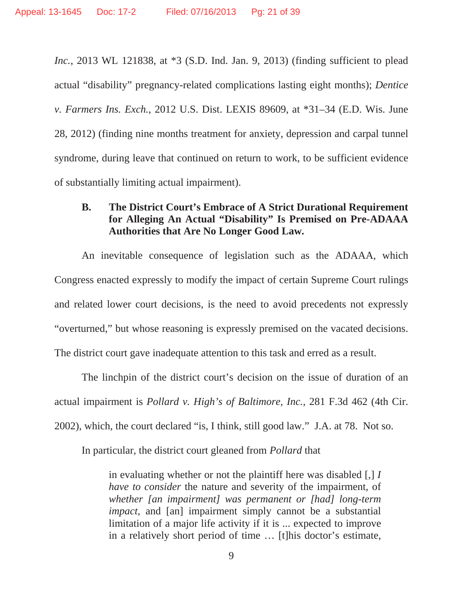*Inc.*, 2013 WL 121838, at \*3 (S.D. Ind. Jan. 9, 2013) (finding sufficient to plead actual "disability" pregnancy-related complications lasting eight months); *Dentice v. Farmers Ins. Exch.*, 2012 U.S. Dist. LEXIS 89609, at \*31–34 (E.D. Wis. June 28, 2012) (finding nine months treatment for anxiety, depression and carpal tunnel syndrome, during leave that continued on return to work, to be sufficient evidence of substantially limiting actual impairment).

#### **B. The District Court's Embrace of A Strict Durational Requirement for Alleging An Actual "Disability" Is Premised on Pre-ADAAA Authorities that Are No Longer Good Law.**

An inevitable consequence of legislation such as the ADAAA, which Congress enacted expressly to modify the impact of certain Supreme Court rulings and related lower court decisions, is the need to avoid precedents not expressly "overturned," but whose reasoning is expressly premised on the vacated decisions. The district court gave inadequate attention to this task and erred as a result.

The linchpin of the district court's decision on the issue of duration of an actual impairment is *Pollard v. High's of Baltimore, Inc.*, 281 F.3d 462 (4th Cir. 2002), which, the court declared "is, I think, still good law." J.A. at 78. Not so.

In particular, the district court gleaned from *Pollard* that

in evaluating whether or not the plaintiff here was disabled [,] *I have to consider* the nature and severity of the impairment, of *whether [an impairment] was permanent or [had] long-term impact*, and [an] impairment simply cannot be a substantial limitation of a major life activity if it is ... expected to improve in a relatively short period of time … [t]his doctor's estimate,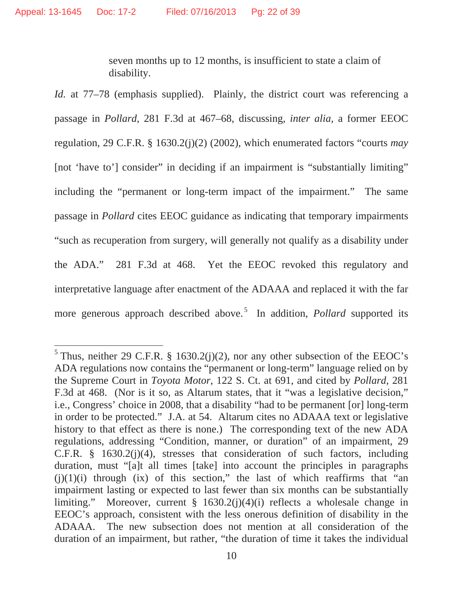seven months up to 12 months, is insufficient to state a claim of disability.

*Id.* at 77–78 (emphasis supplied). Plainly, the district court was referencing a passage in *Pollard*, 281 F.3d at 467–68, discussing, *inter alia,* a former EEOC regulation, 29 C.F.R. § 1630.2(j)(2) (2002), which enumerated factors "courts *may* [not 'have to'] consider" in deciding if an impairment is "substantially limiting" including the "permanent or long-term impact of the impairment." The same passage in *Pollard* cites EEOC guidance as indicating that temporary impairments "such as recuperation from surgery, will generally not qualify as a disability under the ADA." 281 F.3d at 468. Yet the EEOC revoked this regulatory and interpretative language after enactment of the ADAAA and replaced it with the far more generous approach described above.<sup>5</sup> In addition, *Pollard* supported its

<sup>&</sup>lt;sup>5</sup> Thus, neither 29 C.F.R. § 1630.2(j)(2), nor any other subsection of the EEOC's ADA regulations now contains the "permanent or long-term" language relied on by the Supreme Court in *Toyota Motor*, 122 S. Ct. at 691, and cited by *Pollard*, 281 F.3d at 468. (Nor is it so, as Altarum states, that it "was a legislative decision," i.e., Congress' choice in 2008, that a disability "had to be permanent [or] long-term in order to be protected." J.A. at 54. Altarum cites no ADAAA text or legislative history to that effect as there is none.) The corresponding text of the new ADA regulations, addressing "Condition, manner, or duration" of an impairment, 29 C.F.R. § 1630.2(j)(4), stresses that consideration of such factors, including duration, must "[a]t all times [take] into account the principles in paragraphs  $(j)(1)(i)$  through  $(ix)$  of this section," the last of which reaffirms that "an impairment lasting or expected to last fewer than six months can be substantially limiting." Moreover, current § 1630.2(j)(4)(i) reflects a wholesale change in EEOC's approach, consistent with the less onerous definition of disability in the ADAAA. The new subsection does not mention at all consideration of the duration of an impairment, but rather, "the duration of time it takes the individual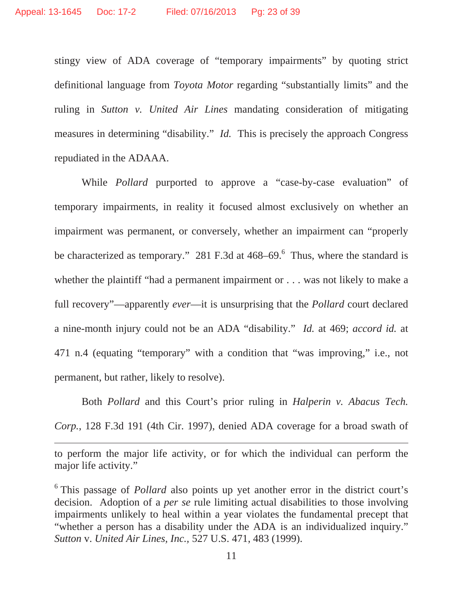stingy view of ADA coverage of "temporary impairments" by quoting strict definitional language from *Toyota Motor* regarding "substantially limits" and the ruling in *Sutton v. United Air Lines* mandating consideration of mitigating measures in determining "disability." *Id.* This is precisely the approach Congress repudiated in the ADAAA.

 While *Pollard* purported to approve a "case-by-case evaluation" of temporary impairments, in reality it focused almost exclusively on whether an impairment was permanent, or conversely, whether an impairment can "properly be characterized as temporary." 281 F.3d at  $468-69$ . Thus, where the standard is whether the plaintiff "had a permanent impairment or . . . was not likely to make a full recovery"—apparently *ever*—it is unsurprising that the *Pollard* court declared a nine-month injury could not be an ADA "disability." *Id.* at 469; *accord id.* at 471 n.4 (equating "temporary" with a condition that "was improving," i.e., not permanent, but rather, likely to resolve).

Both *Pollard* and this Court's prior ruling in *Halperin v. Abacus Tech. Corp.*, 128 F.3d 191 (4th Cir. 1997), denied ADA coverage for a broad swath of

to perform the major life activity, or for which the individual can perform the major life activity."

<u> 1989 - Andrea Santa Andrea Andrea Andrea Andrea Andrea Andrea Andrea Andrea Andrea Andrea Andrea Andrea Andr</u>

<sup>6</sup> This passage of *Pollard* also points up yet another error in the district court's decision. Adoption of a *per se* rule limiting actual disabilities to those involving impairments unlikely to heal within a year violates the fundamental precept that "whether a person has a disability under the ADA is an individualized inquiry." *Sutton* v. *United Air Lines, Inc.,* 527 U.S. 471, 483 (1999).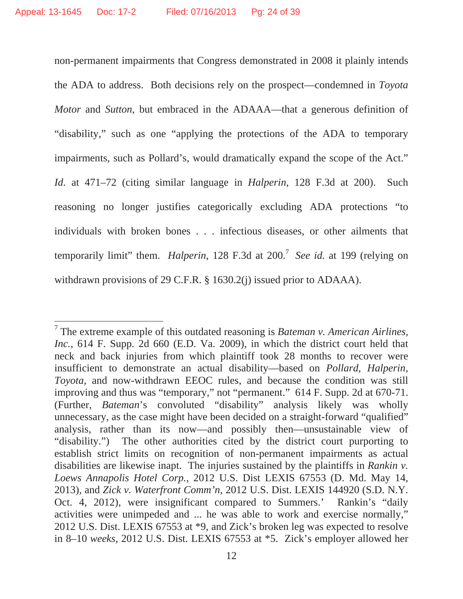non-permanent impairments that Congress demonstrated in 2008 it plainly intends the ADA to address. Both decisions rely on the prospect—condemned in *Toyota Motor* and *Sutton*, but embraced in the ADAAA—that a generous definition of "disability," such as one "applying the protections of the ADA to temporary impairments, such as Pollard's, would dramatically expand the scope of the Act." *Id.* at 471–72 (citing similar language in *Halperin*, 128 F.3d at 200). Such reasoning no longer justifies categorically excluding ADA protections "to individuals with broken bones . . . infectious diseases, or other ailments that temporarily limit" them. *Halperin*, 128 F.3d at 200.7 *See id.* at 199 (relying on withdrawn provisions of 29 C.F.R. § 1630.2(j) issued prior to ADAAA).

<sup>7</sup> The extreme example of this outdated reasoning is *Bateman v. American Airlines, Inc.*, 614 F. Supp. 2d 660 (E.D. Va. 2009), in which the district court held that neck and back injuries from which plaintiff took 28 months to recover were insufficient to demonstrate an actual disability—based on *Pollard, Halperin, Toyota*, and now-withdrawn EEOC rules, and because the condition was still improving and thus was "temporary," not "permanent." 614 F. Supp. 2d at 670-71. (Further, *Bateman*'s convoluted "disability" analysis likely was wholly unnecessary, as the case might have been decided on a straight-forward "qualified" analysis, rather than its now—and possibly then—unsustainable view of "disability.") The other authorities cited by the district court purporting to establish strict limits on recognition of non-permanent impairments as actual disabilities are likewise inapt. The injuries sustained by the plaintiffs in *Rankin v. Loews Annapolis Hotel Corp.*, 2012 U.S. Dist LEXIS 67553 (D. Md. May 14, 2013), and *Zick v. Waterfront Comm'n*, 2012 U.S. Dist. LEXIS 144920 (S.D. N.Y. Oct. 4, 2012), were insignificant compared to Summers.' Rankin's "daily activities were unimpeded and ... he was able to work and exercise normally," 2012 U.S. Dist. LEXIS 67553 at \*9, and Zick's broken leg was expected to resolve in 8–10 *weeks*, 2012 U.S. Dist. LEXIS 67553 at \*5. Zick's employer allowed her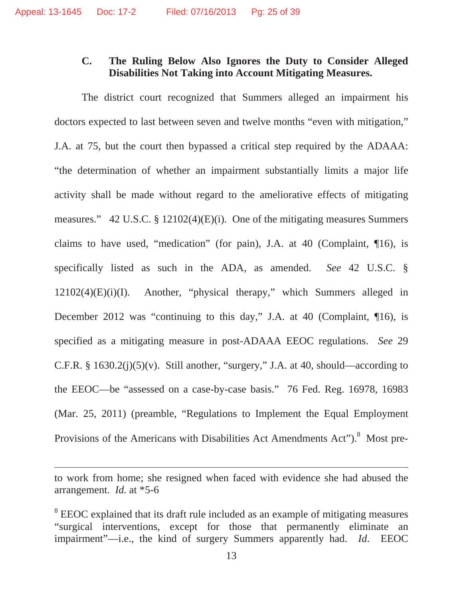## **C. The Ruling Below Also Ignores the Duty to Consider Alleged Disabilities Not Taking into Account Mitigating Measures.**

The district court recognized that Summers alleged an impairment his doctors expected to last between seven and twelve months "even with mitigation," J.A. at 75, but the court then bypassed a critical step required by the ADAAA: "the determination of whether an impairment substantially limits a major life activity shall be made without regard to the ameliorative effects of mitigating measures." 42 U.S.C. § 12102(4)(E)(i). One of the mitigating measures Summers claims to have used, "medication" (for pain), J.A. at 40 (Complaint, ¶16), is specifically listed as such in the ADA, as amended. *See* 42 U.S.C. § 12102(4)(E)(i)(I). Another, "physical therapy," which Summers alleged in December 2012 was "continuing to this day," J.A. at 40 (Complaint, 10), is specified as a mitigating measure in post-ADAAA EEOC regulations. *See* 29 C.F.R. §  $1630.2(j)(5)(v)$ . Still another, "surgery," J.A. at 40, should—according to the EEOC—be "assessed on a case-by-case basis." 76 Fed. Reg. 16978, 16983 (Mar. 25, 2011) (preamble, "Regulations to Implement the Equal Employment Provisions of the Americans with Disabilities Act Amendments Act").<sup>8</sup> Most pre-

to work from home; she resigned when faced with evidence she had abused the arrangement. *Id.* at \*5-6

<u> 1989 - Andrea Santa Andrea Andrea Andrea Andrea Andrea Andrea Andrea Andrea Andrea Andrea Andrea Andrea Andr</u>

<sup>&</sup>lt;sup>8</sup> EEOC explained that its draft rule included as an example of mitigating measures "surgical interventions, except for those that permanently eliminate an impairment"—i.e., the kind of surgery Summers apparently had. *Id*. EEOC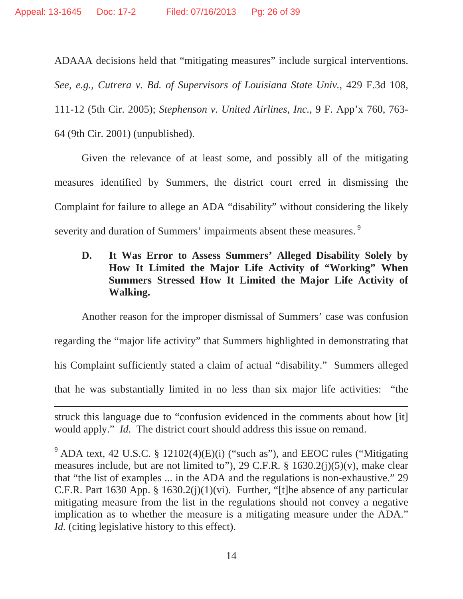ADAAA decisions held that "mitigating measures" include surgical interventions. *See, e.g.*, *Cutrera v. Bd. of Supervisors of Louisiana State Univ.*, 429 F.3d 108, 111-12 (5th Cir. 2005); *Stephenson v. United Airlines, Inc.*, 9 F. App'x 760, 763- 64 (9th Cir. 2001) (unpublished).

Given the relevance of at least some, and possibly all of the mitigating measures identified by Summers, the district court erred in dismissing the Complaint for failure to allege an ADA "disability" without considering the likely severity and duration of Summers' impairments absent these measures.<sup>9</sup>

## **D. It Was Error to Assess Summers' Alleged Disability Solely by How It Limited the Major Life Activity of "Working" When Summers Stressed How It Limited the Major Life Activity of Walking.**

Another reason for the improper dismissal of Summers' case was confusion regarding the "major life activity" that Summers highlighted in demonstrating that his Complaint sufficiently stated a claim of actual "disability." Summers alleged that he was substantially limited in no less than six major life activities: "the

<u> 1989 - Johann Stein, marwolaethau a cyfeiliad y gynnas a gynnas a gynnas a gynnas a gynnas a gynnas a gynnas</u>

struck this language due to "confusion evidenced in the comments about how [it] would apply." *Id*. The district court should address this issue on remand.

<sup>&</sup>lt;sup>9</sup> ADA text, 42 U.S.C. § 12102(4)(E)(i) ("such as"), and EEOC rules ("Mitigating measures include, but are not limited to"), 29 C.F.R.  $\S$  1630.2(j)(5)(v), make clear that "the list of examples ... in the ADA and the regulations is non-exhaustive." 29 C.F.R. Part 1630 App. § 1630.2(j)(1)(vi). Further, "[t]he absence of any particular mitigating measure from the list in the regulations should not convey a negative implication as to whether the measure is a mitigating measure under the ADA." *Id.* (citing legislative history to this effect).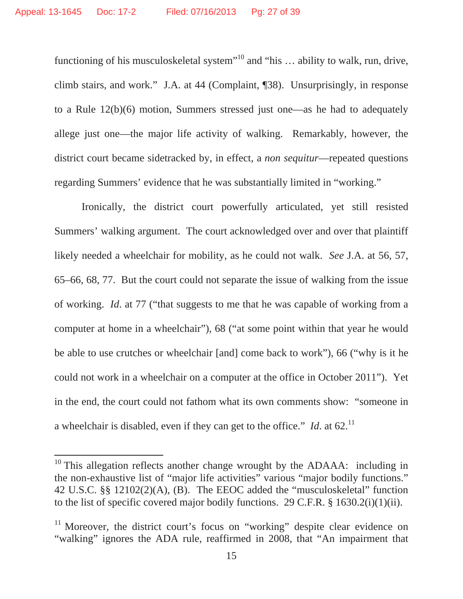functioning of his musculoskeletal system"<sup>10</sup> and "his ... ability to walk, run, drive, climb stairs, and work." J.A. at 44 (Complaint, ¶38). Unsurprisingly, in response to a Rule 12(b)(6) motion, Summers stressed just one—as he had to adequately allege just one—the major life activity of walking. Remarkably, however, the district court became sidetracked by, in effect, a *non sequitur*––repeated questions regarding Summers' evidence that he was substantially limited in "working."

Ironically, the district court powerfully articulated, yet still resisted Summers' walking argument. The court acknowledged over and over that plaintiff likely needed a wheelchair for mobility, as he could not walk. *See* J.A. at 56, 57, 65–66, 68, 77. But the court could not separate the issue of walking from the issue of working. *Id*. at 77 ("that suggests to me that he was capable of working from a computer at home in a wheelchair"), 68 ("at some point within that year he would be able to use crutches or wheelchair [and] come back to work"), 66 ("why is it he could not work in a wheelchair on a computer at the office in October 2011"). Yet in the end, the court could not fathom what its own comments show: "someone in a wheelchair is disabled, even if they can get to the office." *Id.* at  $62$ .<sup>11</sup>

 $10$  This allegation reflects another change wrought by the ADAAA: including in the non-exhaustive list of "major life activities" various "major bodily functions." 42 U.S.C. §§ 12102(2)(A), (B). The EEOC added the "musculoskeletal" function to the list of specific covered major bodily functions. 29 C.F.R. § 1630.2(i)(1)(ii).

<sup>&</sup>lt;sup>11</sup> Moreover, the district court's focus on "working" despite clear evidence on "walking" ignores the ADA rule, reaffirmed in 2008, that "An impairment that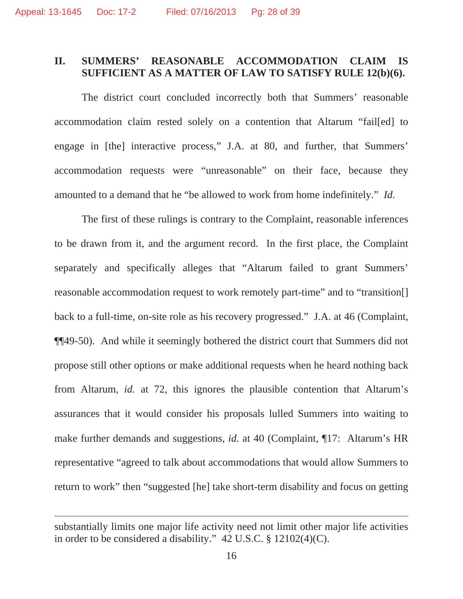#### **II. SUMMERS' REASONABLE ACCOMMODATION CLAIM IS SUFFICIENT AS A MATTER OF LAW TO SATISFY RULE 12(b)(6).**

The district court concluded incorrectly both that Summers' reasonable accommodation claim rested solely on a contention that Altarum "fail[ed] to engage in [the] interactive process," J.A. at 80, and further, that Summers' accommodation requests were "unreasonable" on their face, because they amounted to a demand that he "be allowed to work from home indefinitely." *Id.*

The first of these rulings is contrary to the Complaint, reasonable inferences to be drawn from it, and the argument record. In the first place, the Complaint separately and specifically alleges that "Altarum failed to grant Summers' reasonable accommodation request to work remotely part-time" and to "transition[] back to a full-time, on-site role as his recovery progressed." J.A. at 46 (Complaint, ¶¶49-50). And while it seemingly bothered the district court that Summers did not propose still other options or make additional requests when he heard nothing back from Altarum, *id.* at 72, this ignores the plausible contention that Altarum's assurances that it would consider his proposals lulled Summers into waiting to make further demands and suggestions, *id.* at 40 (Complaint, ¶17: Altarum's HR representative "agreed to talk about accommodations that would allow Summers to return to work" then "suggested [he] take short-term disability and focus on getting

<u> 1989 - Andrea Santa Andrea Andrea Andrea Andrea Andrea Andrea Andrea Andrea Andrea Andrea Andrea Andrea Andr</u>

substantially limits one major life activity need not limit other major life activities in order to be considered a disability." 42 U.S.C. § 12102(4)(C).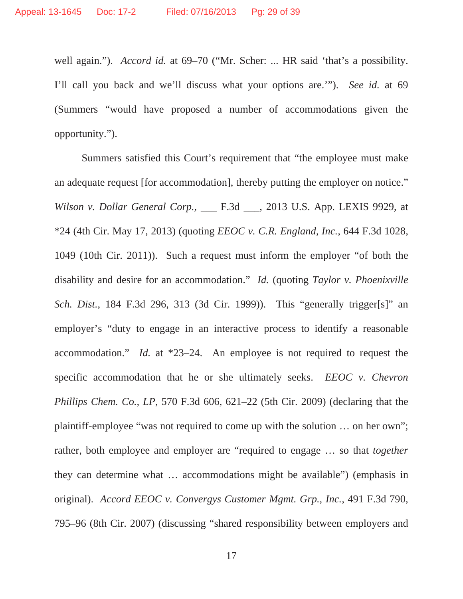well again."). *Accord id.* at 69–70 ("Mr. Scher: ... HR said 'that's a possibility. I'll call you back and we'll discuss what your options are.'"). *See id.* at 69 (Summers "would have proposed a number of accommodations given the opportunity.").

Summers satisfied this Court's requirement that "the employee must make an adequate request [for accommodation], thereby putting the employer on notice." *Wilson v. Dollar General Corp.*, \_\_\_ F.3d \_\_\_, 2013 U.S. App. LEXIS 9929, at \*24 (4th Cir. May 17, 2013) (quoting *EEOC v. C.R. England, Inc.*, 644 F.3d 1028, 1049 (10th Cir. 2011)). Such a request must inform the employer "of both the disability and desire for an accommodation." *Id.* (quoting *Taylor v. Phoenixville Sch. Dist.*, 184 F.3d 296, 313 (3d Cir. 1999)). This "generally trigger[s]" an employer's "duty to engage in an interactive process to identify a reasonable accommodation." *Id.* at \*23–24. An employee is not required to request the specific accommodation that he or she ultimately seeks. *EEOC v. Chevron Phillips Chem. Co., LP*, 570 F.3d 606, 621–22 (5th Cir. 2009) (declaring that the plaintiff-employee "was not required to come up with the solution … on her own"; rather, both employee and employer are "required to engage … so that *together* they can determine what … accommodations might be available") (emphasis in original). *Accord EEOC v. Convergys Customer Mgmt. Grp., Inc.*, 491 F.3d 790, 795–96 (8th Cir. 2007) (discussing "shared responsibility between employers and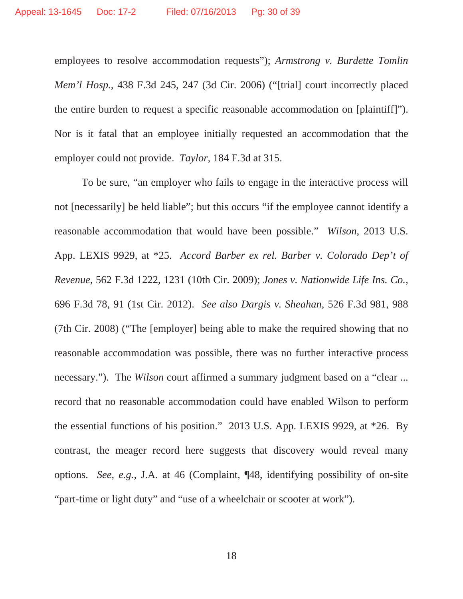employees to resolve accommodation requests"); *Armstrong v. Burdette Tomlin Mem'l Hosp.*, 438 F.3d 245, 247 (3d Cir. 2006) ("[trial] court incorrectly placed the entire burden to request a specific reasonable accommodation on [plaintiff]"). Nor is it fatal that an employee initially requested an accommodation that the employer could not provide. *Taylor,* 184 F.3d at 315.

To be sure, "an employer who fails to engage in the interactive process will not [necessarily] be held liable"; but this occurs "if the employee cannot identify a reasonable accommodation that would have been possible." *Wilson*, 2013 U.S. App. LEXIS 9929, at \*25. *Accord Barber ex rel. Barber v. Colorado Dep't of Revenue*, 562 F.3d 1222, 1231 (10th Cir. 2009); *Jones v. Nationwide Life Ins. Co.*, 696 F.3d 78, 91 (1st Cir. 2012). *See also Dargis v. Sheahan*, 526 F.3d 981, 988 (7th Cir. 2008) ("The [employer] being able to make the required showing that no reasonable accommodation was possible, there was no further interactive process necessary."). The *Wilson* court affirmed a summary judgment based on a "clear ... record that no reasonable accommodation could have enabled Wilson to perform the essential functions of his position." 2013 U.S. App. LEXIS 9929, at \*26. By contrast, the meager record here suggests that discovery would reveal many options. *See, e.g.,* J.A. at 46 (Complaint, ¶48, identifying possibility of on-site "part-time or light duty" and "use of a wheelchair or scooter at work").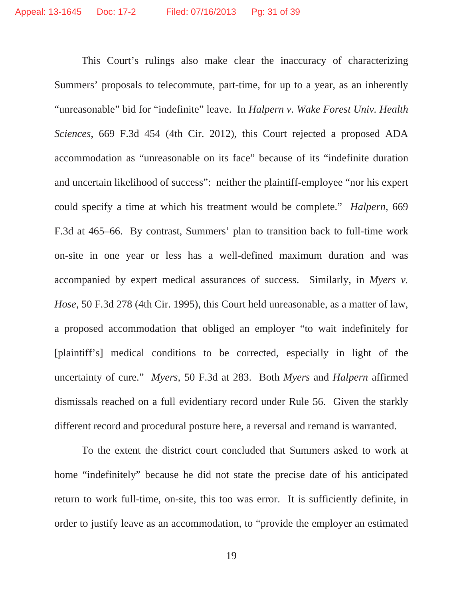This Court's rulings also make clear the inaccuracy of characterizing Summers' proposals to telecommute, part-time, for up to a year, as an inherently "unreasonable" bid for "indefinite" leave. In *Halpern v. Wake Forest Univ. Health Sciences*, 669 F.3d 454 (4th Cir. 2012), this Court rejected a proposed ADA accommodation as "unreasonable on its face" because of its "indefinite duration and uncertain likelihood of success": neither the plaintiff-employee "nor his expert could specify a time at which his treatment would be complete." *Halpern*, 669 F.3d at 465–66. By contrast, Summers' plan to transition back to full-time work on-site in one year or less has a well-defined maximum duration and was accompanied by expert medical assurances of success. Similarly, in *Myers v. Hose*, 50 F.3d 278 (4th Cir. 1995), this Court held unreasonable, as a matter of law, a proposed accommodation that obliged an employer "to wait indefinitely for [plaintiff's] medical conditions to be corrected, especially in light of the uncertainty of cure." *Myers*, 50 F.3d at 283. Both *Myers* and *Halpern* affirmed dismissals reached on a full evidentiary record under Rule 56. Given the starkly different record and procedural posture here, a reversal and remand is warranted.

To the extent the district court concluded that Summers asked to work at home "indefinitely" because he did not state the precise date of his anticipated return to work full-time, on-site, this too was error. It is sufficiently definite, in order to justify leave as an accommodation, to "provide the employer an estimated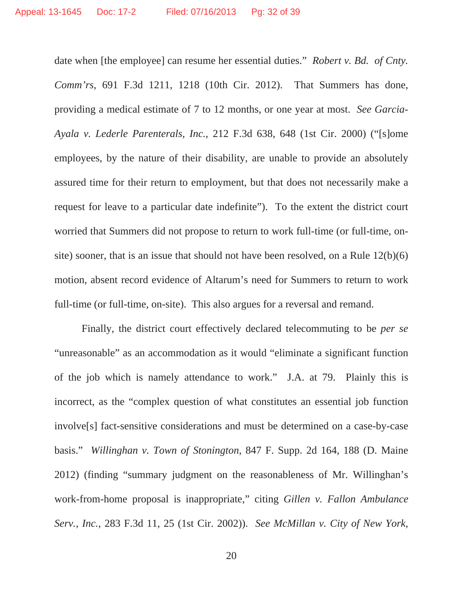date when [the employee] can resume her essential duties." *Robert v. Bd. of Cnty. Comm'rs*, 691 F.3d 1211, 1218 (10th Cir. 2012). That Summers has done, providing a medical estimate of 7 to 12 months, or one year at most. *See Garcia-Ayala v. Lederle Parenterals, Inc.*, 212 F.3d 638, 648 (1st Cir. 2000) ("[s]ome employees, by the nature of their disability, are unable to provide an absolutely assured time for their return to employment, but that does not necessarily make a request for leave to a particular date indefinite"). To the extent the district court worried that Summers did not propose to return to work full-time (or full-time, onsite) sooner, that is an issue that should not have been resolved, on a Rule 12(b)(6) motion, absent record evidence of Altarum's need for Summers to return to work full-time (or full-time, on-site). This also argues for a reversal and remand.

Finally, the district court effectively declared telecommuting to be *per se* "unreasonable" as an accommodation as it would "eliminate a significant function of the job which is namely attendance to work." J.A. at 79. Plainly this is incorrect, as the "complex question of what constitutes an essential job function involve[s] fact-sensitive considerations and must be determined on a case-by-case basis." *Willinghan v. Town of Stonington*, 847 F. Supp. 2d 164, 188 (D. Maine 2012) (finding "summary judgment on the reasonableness of Mr. Willinghan's work-from-home proposal is inappropriate," citing *Gillen v. Fallon Ambulance Serv., Inc.*, 283 F.3d 11, 25 (1st Cir. 2002)). *See McMillan v. City of New York,*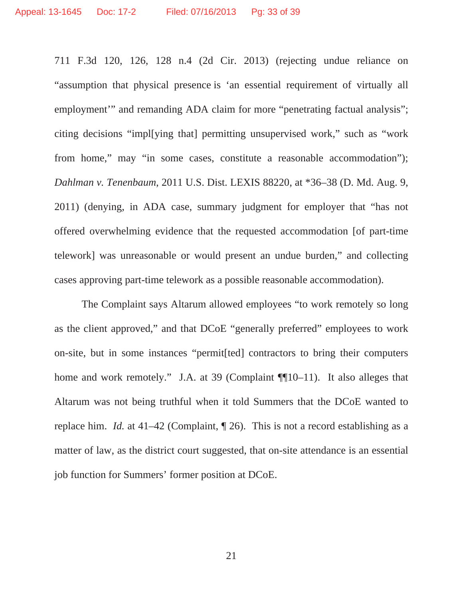711 F.3d 120, 126, 128 n.4 (2d Cir. 2013) (rejecting undue reliance on "assumption that physical presence is 'an essential requirement of virtually all employment'" and remanding ADA claim for more "penetrating factual analysis"; citing decisions "impl[ying that] permitting unsupervised work," such as "work from home," may "in some cases, constitute a reasonable accommodation"); *Dahlman v. Tenenbaum*, 2011 U.S. Dist. LEXIS 88220, at \*36–38 (D. Md. Aug. 9, 2011) (denying, in ADA case, summary judgment for employer that "has not offered overwhelming evidence that the requested accommodation [of part-time telework] was unreasonable or would present an undue burden," and collecting cases approving part-time telework as a possible reasonable accommodation).

The Complaint says Altarum allowed employees "to work remotely so long as the client approved," and that DCoE "generally preferred" employees to work on-site, but in some instances "permit[ted] contractors to bring their computers home and work remotely." J.A. at 39 (Complaint ¶[10–11). It also alleges that Altarum was not being truthful when it told Summers that the DCoE wanted to replace him. *Id.* at 41–42 (Complaint, ¶ 26). This is not a record establishing as a matter of law, as the district court suggested, that on-site attendance is an essential job function for Summers' former position at DCoE.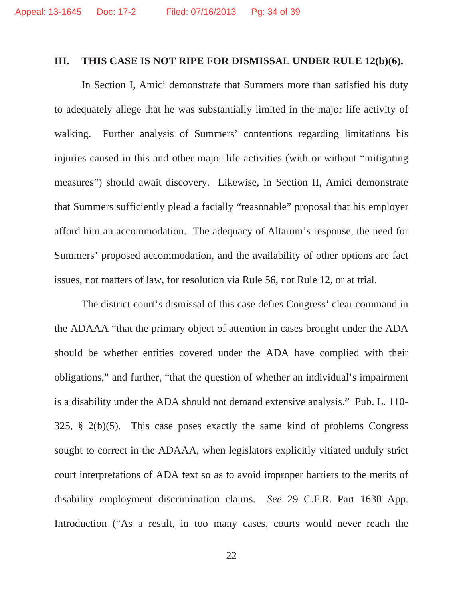#### **III. THIS CASE IS NOT RIPE FOR DISMISSAL UNDER RULE 12(b)(6).**

In Section I, Amici demonstrate that Summers more than satisfied his duty to adequately allege that he was substantially limited in the major life activity of walking. Further analysis of Summers' contentions regarding limitations his injuries caused in this and other major life activities (with or without "mitigating measures") should await discovery. Likewise, in Section II, Amici demonstrate that Summers sufficiently plead a facially "reasonable" proposal that his employer afford him an accommodation. The adequacy of Altarum's response, the need for Summers' proposed accommodation, and the availability of other options are fact issues, not matters of law, for resolution via Rule 56, not Rule 12, or at trial.

The district court's dismissal of this case defies Congress' clear command in the ADAAA "that the primary object of attention in cases brought under the ADA should be whether entities covered under the ADA have complied with their obligations," and further, "that the question of whether an individual's impairment is a disability under the ADA should not demand extensive analysis." Pub. L. 110- 325, § 2(b)(5). This case poses exactly the same kind of problems Congress sought to correct in the ADAAA, when legislators explicitly vitiated unduly strict court interpretations of ADA text so as to avoid improper barriers to the merits of disability employment discrimination claims. *See* 29 C.F.R. Part 1630 App. Introduction ("As a result, in too many cases, courts would never reach the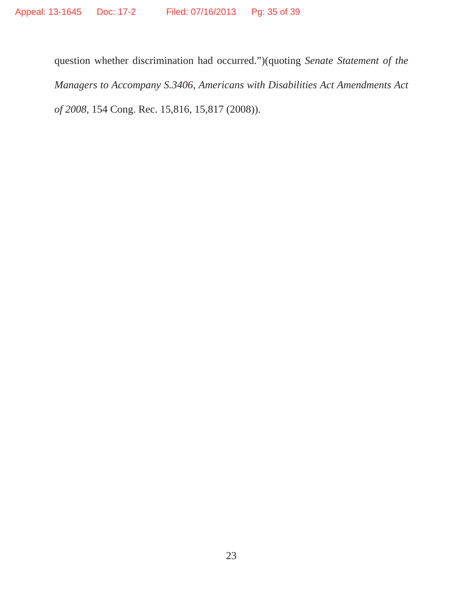question whether discrimination had occurred.")(quoting *Senate Statement of the Managers to Accompany S.3406*, *Americans with Disabilities Act Amendments Act of 2008*, 154 Cong. Rec. 15,816, 15,817 (2008)).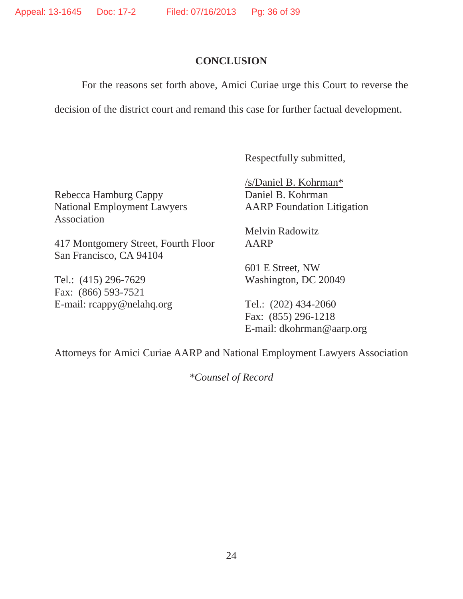#### **CONCLUSION**

For the reasons set forth above, Amici Curiae urge this Court to reverse the

decision of the district court and remand this case for further factual development.

Respectfully submitted,

Rebecca Hamburg Cappy Daniel B. Kohrman National Employment Lawyers AARP Foundation Litigation Association

417 Montgomery Street, Fourth Floor AARP San Francisco, CA 94104

Tel.: (415) 296-7629 Washington, DC 20049 Fax: (866) 593-7521 E-mail:  $rcappy@nelahq.org$  Tel.:  $(202)$  434-2060

/s/Daniel B. Kohrman\*

Melvin Radowitz

601 E Street, NW

 Fax: (855) 296-1218 E-mail: dkohrman@aarp.org

Attorneys for Amici Curiae AARP and National Employment Lawyers Association

*\*Counsel of Record*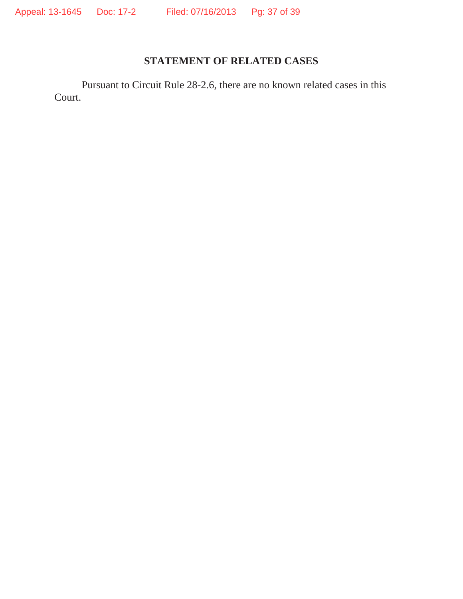## **STATEMENT OF RELATED CASES**

Pursuant to Circuit Rule 28-2.6, there are no known related cases in this Court.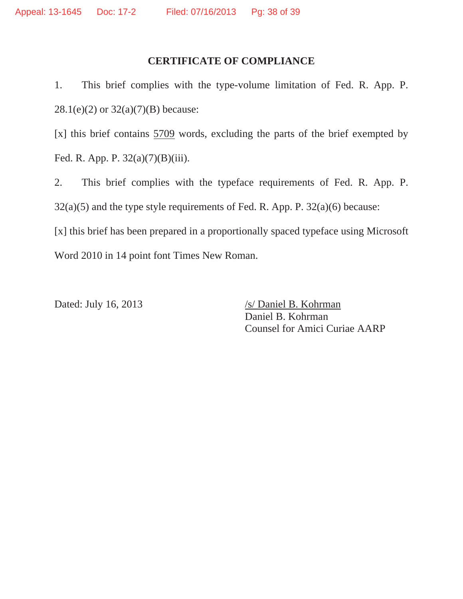#### **CERTIFICATE OF COMPLIANCE**

1. This brief complies with the type-volume limitation of Fed. R. App. P. 28.1(e)(2) or 32(a)(7)(B) because:

[x] this brief contains 5709 words, excluding the parts of the brief exempted by Fed. R. App. P. 32(a)(7)(B)(iii).

2. This brief complies with the typeface requirements of Fed. R. App. P.  $32(a)(5)$  and the type style requirements of Fed. R. App. P.  $32(a)(6)$  because: [x] this brief has been prepared in a proportionally spaced typeface using Microsoft Word 2010 in 14 point font Times New Roman.

Dated: July 16, 2013 /s/ Daniel B. Kohrman Daniel B. Kohrman Counsel for Amici Curiae AARP